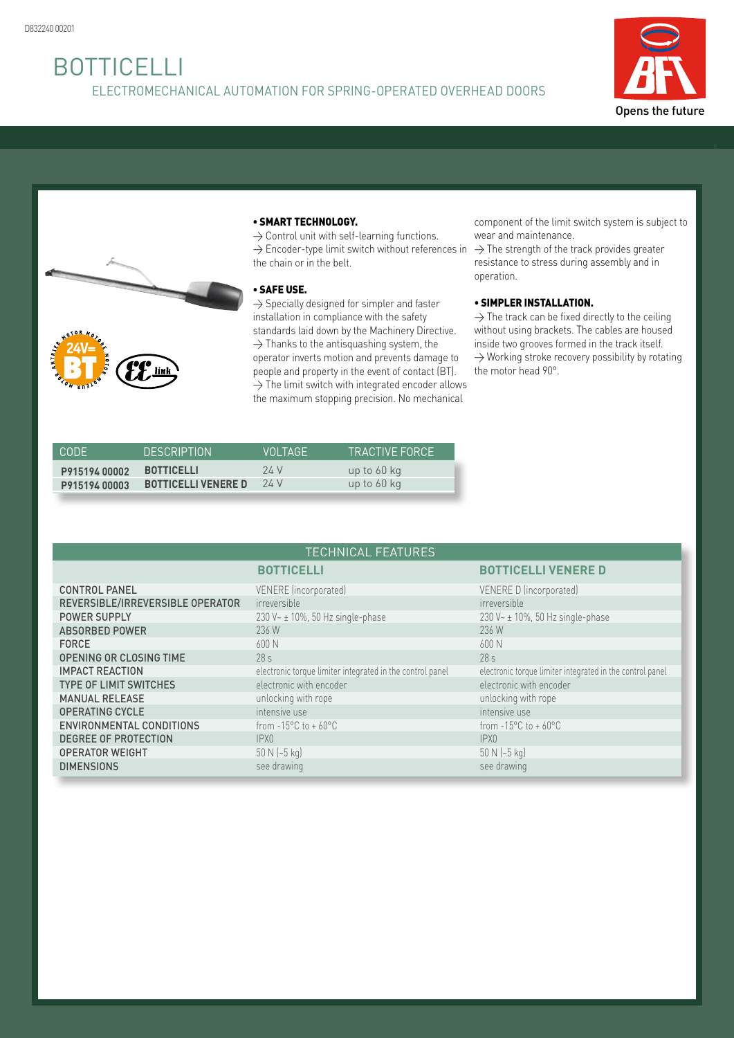# BOTTICELLI ELECTROMECHANICAL AUTOMATION FOR SPRING-OPERATED OVERHEAD DOORS





#### • SMART TECHNOLOGY.

 $\rightarrow$  Control unit with self-learning functions.  $\rightarrow$  Encoder-type limit switch without references in  $\rightarrow$  The strength of the track provides greater the chain or in the belt.

### • SAFE USE.

 $\rightarrow$  Specially designed for simpler and faster installation in compliance with the safety standards laid down by the Machinery Directive.  $\rightarrow$  Thanks to the antisquashing system, the operator inverts motion and prevents damage to people and property in the event of contact (BT).  $\rightarrow$  The limit switch with integrated encoder allows the maximum stopping precision. No mechanical

component of the limit switch system is subject to wear and maintenance.

resistance to stress during assembly and in operation.

#### • SIMPLER INSTALLATION.

 $\rightarrow$  The track can be fixed directly to the ceiling without using brackets. The cables are housed inside two grooves formed in the track itself.  $\rightarrow$  Working stroke recovery possibility by rotating the motor head 90°.

| CODE.         | DESCRIPTION'               | VOI TAGF | ITRACTIVE FORCE ' |
|---------------|----------------------------|----------|-------------------|
| P915194 00002 | <b>BOTTICELLI</b>          | 24 V     | up to 60 kg       |
| P915194 00003 | <b>BOTTICELLI VENERE D</b> | 24 V     | up to 60 kg       |

## TECHNICAL FEATuRES

|                                  | <b>BOTTICELLI</b>                                         | <b>BOTTICELLI VENERE D</b>                                |
|----------------------------------|-----------------------------------------------------------|-----------------------------------------------------------|
| <b>CONTROL PANEL</b>             | VENERE (incorporated)                                     | VENERE D (incorporated)                                   |
| REVERSIBLE/IRREVERSIBLE OPERATOR | irreversible                                              | irreversible                                              |
| <b>POWER SUPPLY</b>              | 230 V~ ± 10%, 50 Hz single-phase                          | 230 V~ ± 10%, 50 Hz single-phase                          |
| <b>ABSORBED POWER</b>            | 236 W                                                     | 236 W                                                     |
| <b>FORCE</b>                     | 600 N                                                     | 600 N                                                     |
| <b>OPENING OR CLOSING TIME</b>   | 28 <sub>s</sub>                                           | 28 <sub>s</sub>                                           |
| <b>IMPACT REACTION</b>           | electronic torque limiter integrated in the control panel | electronic torque limiter integrated in the control panel |
| <b>TYPE OF LIMIT SWITCHES</b>    | electronic with encoder                                   | electronic with encoder                                   |
| <b>MANUAL RELEASE</b>            | unlocking with rope                                       | unlocking with rope                                       |
| <b>OPERATING CYCLE</b>           | intensive use                                             | intensive use                                             |
| <b>ENVIRONMENTAL CONDITIONS</b>  | from $-15^{\circ}$ C to + 60 $^{\circ}$ C                 | from $-15^{\circ}$ C to $+60^{\circ}$ C                   |
| <b>DEGREE OF PROTECTION</b>      | IPX0                                                      | IPX <sub>0</sub>                                          |
| <b>OPERATOR WEIGHT</b>           | $50 N (-5 kg)$                                            | $50 N (-5 kg)$                                            |
| <b>DIMENSIONS</b>                | see drawing                                               | see drawing                                               |